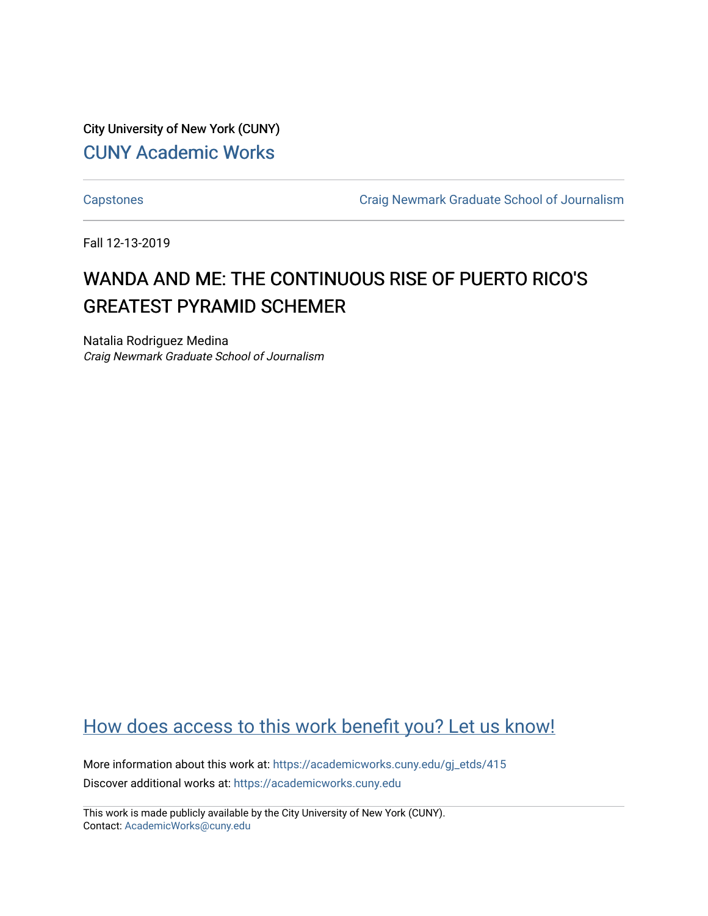City University of New York (CUNY) [CUNY Academic Works](https://academicworks.cuny.edu/) 

[Capstones](https://academicworks.cuny.edu/gj_etds) [Craig Newmark Graduate School of Journalism](https://academicworks.cuny.edu/gj) 

Fall 12-13-2019

## WANDA AND ME: THE CONTINUOUS RISE OF PUERTO RICO'S GREATEST PYRAMID SCHEMER

Natalia Rodriguez Medina Craig Newmark Graduate School of Journalism

## [How does access to this work benefit you? Let us know!](http://ols.cuny.edu/academicworks/?ref=https://academicworks.cuny.edu/gj_etds/415)

More information about this work at: [https://academicworks.cuny.edu/gj\\_etds/415](https://academicworks.cuny.edu/gj_etds/415)  Discover additional works at: [https://academicworks.cuny.edu](https://academicworks.cuny.edu/?)

This work is made publicly available by the City University of New York (CUNY). Contact: [AcademicWorks@cuny.edu](mailto:AcademicWorks@cuny.edu)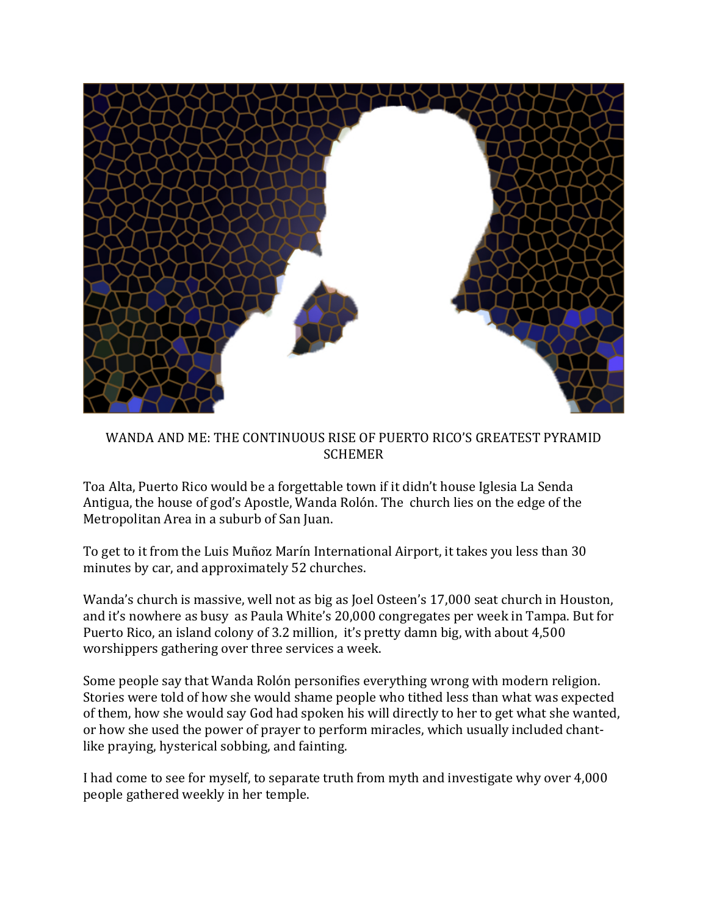

WANDA AND ME: THE CONTINUOUS RISE OF PUERTO RICO'S GREATEST PYRAMID **SCHEMER** 

Toa Alta, Puerto Rico would be a forgettable town if it didn't house Iglesia La Senda Antigua, the house of god's Apostle, Wanda Rolón. The church lies on the edge of the Metropolitan Area in a suburb of San Juan.

To get to it from the Luis Muñoz Marín International Airport, it takes you less than 30 minutes by car, and approximately 52 churches.

Wanda's church is massive, well not as big as Joel Osteen's 17,000 seat church in Houston, and it's nowhere as busy as Paula White's 20,000 congregates per week in Tampa. But for Puerto Rico, an island colony of 3.2 million, it's pretty damn big, with about 4,500 worshippers gathering over three services a week.

Some people say that Wanda Rolón personifies everything wrong with modern religion. Stories were told of how she would shame people who tithed less than what was expected of them, how she would say God had spoken his will directly to her to get what she wanted, or how she used the power of prayer to perform miracles, which usually included chantlike praying, hysterical sobbing, and fainting.

I had come to see for myself, to separate truth from myth and investigate why over 4,000 people gathered weekly in her temple.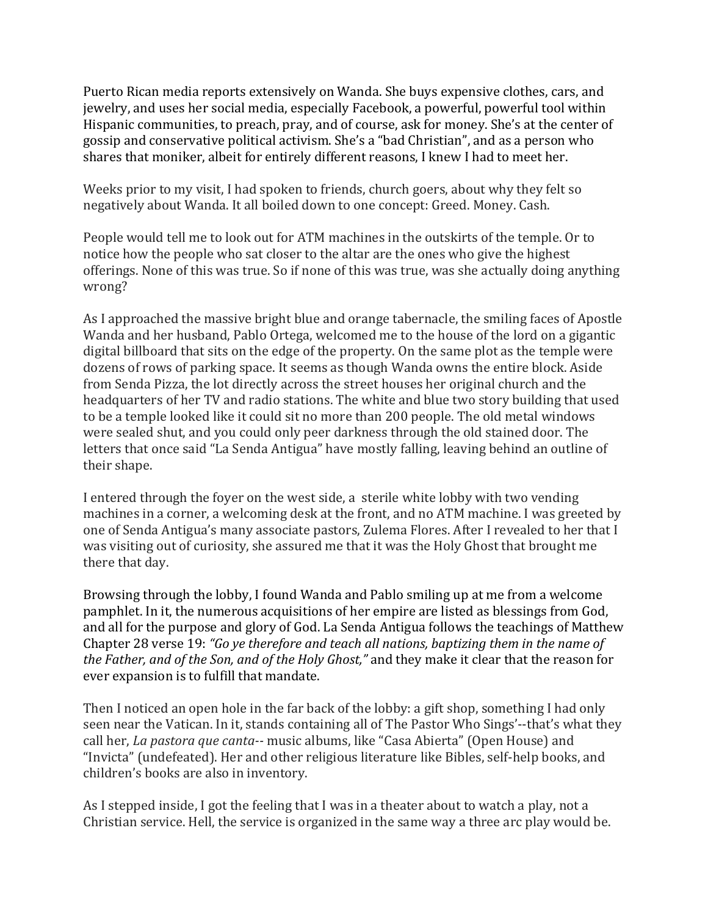Puerto Rican media reports extensively on Wanda. She buys expensive clothes, cars, and jewelry, and uses her social media, especially Facebook, a powerful, powerful tool within Hispanic communities, to preach, pray, and of course, ask for money. She's at the center of gossip and conservative political activism. She's a "bad Christian", and as a person who shares that moniker, albeit for entirely different reasons, I knew I had to meet her.

Weeks prior to my visit, I had spoken to friends, church goers, about why they felt so negatively about Wanda. It all boiled down to one concept: Greed. Money. Cash.

People would tell me to look out for ATM machines in the outskirts of the temple. Or to notice how the people who sat closer to the altar are the ones who give the highest offerings. None of this was true. So if none of this was true, was she actually doing anything wrong?

As I approached the massive bright blue and orange tabernacle, the smiling faces of Apostle Wanda and her husband, Pablo Ortega, welcomed me to the house of the lord on a gigantic digital billboard that sits on the edge of the property. On the same plot as the temple were dozens of rows of parking space. It seems as though Wanda owns the entire block. Aside from Senda Pizza, the lot directly across the street houses her original church and the headquarters of her TV and radio stations. The white and blue two story building that used to be a temple looked like it could sit no more than 200 people. The old metal windows were sealed shut, and you could only peer darkness through the old stained door. The letters that once said "La Senda Antigua" have mostly falling, leaving behind an outline of their shape.

I entered through the foyer on the west side, a sterile white lobby with two vending machines in a corner, a welcoming desk at the front, and no ATM machine. I was greeted by one of Senda Antigua's many associate pastors, Zulema Flores. After I revealed to her that I was visiting out of curiosity, she assured me that it was the Holy Ghost that brought me there that day.

Browsing through the lobby, I found Wanda and Pablo smiling up at me from a welcome pamphlet. In it, the numerous acquisitions of her empire are listed as blessings from God, and all for the purpose and glory of God. La Senda Antigua follows the teachings of Matthew Chapter 28 verse 19: *"Go ye therefore and teach all nations, baptizing them in the name of the Father, and of the Son, and of the Holy Ghost,"* and they make it clear that the reason for ever expansion is to fulfill that mandate.

Then I noticed an open hole in the far back of the lobby: a gift shop, something I had only seen near the Vatican. In it, stands containing all of The Pastor Who Sings'--that's what they call her, *La pastora que canta--* music albums, like "Casa Abierta" (Open House) and "Invicta" (undefeated). Her and other religious literature like Bibles, self-help books, and children's books are also in inventory.

As I stepped inside, I got the feeling that I was in a theater about to watch a play, not a Christian service. Hell, the service is organized in the same way a three arc play would be.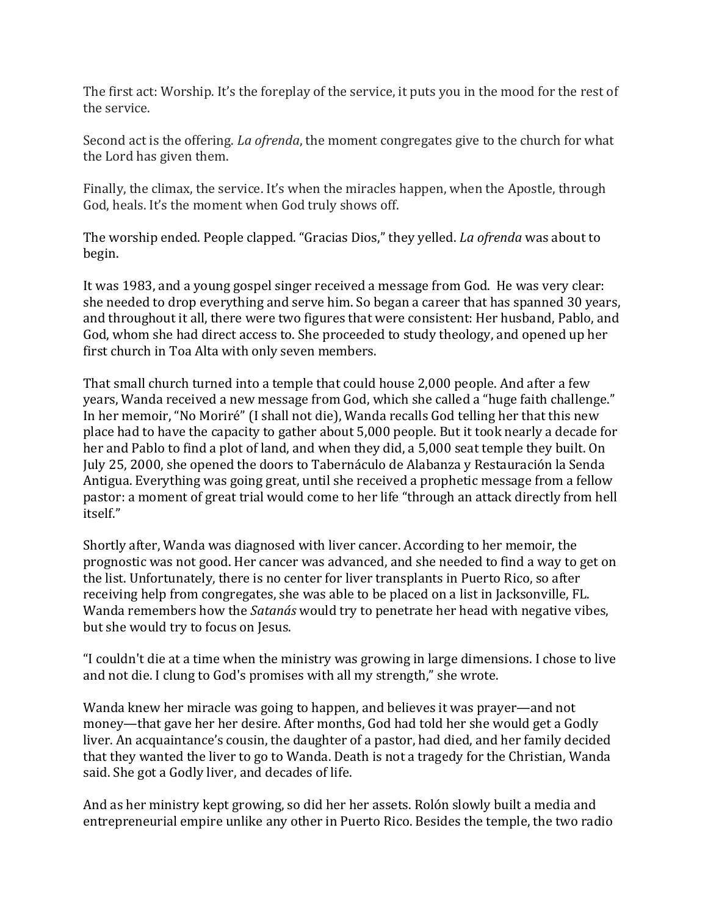The first act: Worship. It's the foreplay of the service, it puts you in the mood for the rest of the service.

Second act is the offering. *La ofrenda*, the moment congregates give to the church for what the Lord has given them.

Finally, the climax, the service. It's when the miracles happen, when the Apostle, through God, heals. It's the moment when God truly shows off.

The worship ended. People clapped. "Gracias Dios," they yelled. *La ofrenda* was about to begin.

It was 1983, and a young gospel singer received a message from God. He was very clear: she needed to drop everything and serve him. So began a career that has spanned 30 years, and throughout it all, there were two figures that were consistent: Her husband, Pablo, and God, whom she had direct access to. She proceeded to study theology, and opened up her first church in Toa Alta with only seven members.

That small church turned into a temple that could house 2,000 people. And after a few years, Wanda received a new message from God, which she called a "huge faith challenge." In her memoir, "No Moriré" (I shall not die), Wanda recalls God telling her that this new place had to have the capacity to gather about 5,000 people. But it took nearly a decade for her and Pablo to find a plot of land, and when they did, a 5,000 seat temple they built. On July 25, 2000, she opened the doors to Tabernáculo de Alabanza y Restauración la Senda Antigua. Everything was going great, until she received a prophetic message from a fellow pastor: a moment of great trial would come to her life "through an attack directly from hell itself."

Shortly after, Wanda was diagnosed with liver cancer. According to her memoir, the prognostic was not good. Her cancer was advanced, and she needed to find a way to get on the list. Unfortunately, there is no center for liver transplants in Puerto Rico, so after receiving help from congregates, she was able to be placed on a list in Jacksonville, FL. Wanda remembers how the *Satanás* would try to penetrate her head with negative vibes, but she would try to focus on Jesus.

"I couldn't die at a time when the ministry was growing in large dimensions. I chose to live and not die. I clung to God's promises with all my strength," she wrote.

Wanda knew her miracle was going to happen, and believes it was prayer—and not money—that gave her her desire. After months, God had told her she would get a Godly liver. An acquaintance's cousin, the daughter of a pastor, had died, and her family decided that they wanted the liver to go to Wanda. Death is not a tragedy for the Christian, Wanda said. She got a Godly liver, and decades of life.

And as her ministry kept growing, so did her her assets. Rolón slowly built a media and entrepreneurial empire unlike any other in Puerto Rico. Besides the temple, the two radio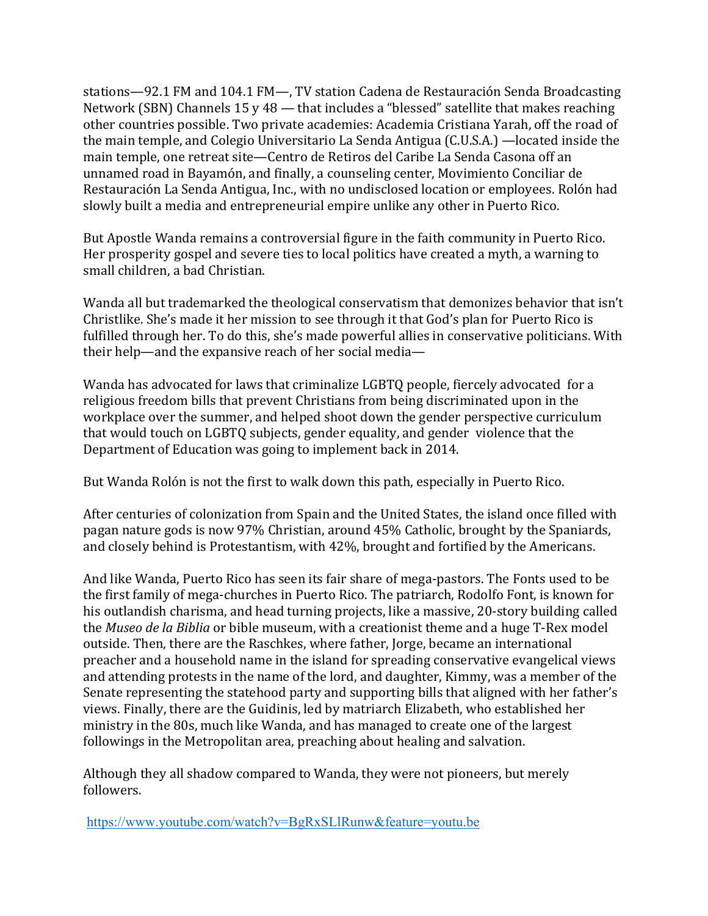stations—92.1 FM and 104.1 FM—, TV station Cadena de Restauración Senda Broadcasting Network (SBN) Channels 15 y 48 — that includes a "blessed" satellite that makes reaching other countries possible. Two private academies: Academia Cristiana Yarah, off the road of the main temple, and Colegio Universitario La Senda Antigua (C.U.S.A.) —located inside the main temple, one retreat site—Centro de Retiros del Caribe La Senda Casona off an unnamed road in Bayamón, and finally, a counseling center, Movimiento Conciliar de Restauración La Senda Antigua, Inc., with no undisclosed location or employees. Rolón had slowly built a media and entrepreneurial empire unlike any other in Puerto Rico.

But Apostle Wanda remains a controversial figure in the faith community in Puerto Rico. Her prosperity gospel and severe ties to local politics have created a myth, a warning to small children, a bad Christian.

Wanda all but trademarked the theological conservatism that demonizes behavior that isn't Christlike. She's made it her mission to see through it that God's plan for Puerto Rico is fulfilled through her. To do this, she's made powerful allies in conservative politicians. With their help—and the expansive reach of her social media—

Wanda has advocated for laws that criminalize LGBTQ people, fiercely advocated for a religious freedom bills that prevent Christians from being discriminated upon in the workplace over the summer, and helped shoot down the gender perspective curriculum that would touch on LGBTQ subjects, gender equality, and gender violence that the Department of Education was going to implement back in 2014.

But Wanda Rolón is not the first to walk down this path, especially in Puerto Rico.

After centuries of colonization from Spain and the United States, the island once filled with pagan nature gods is now 97% Christian, around 45% Catholic, brought by the Spaniards, and closely behind is Protestantism, with 42%, brought and fortified by the Americans.

And like Wanda, Puerto Rico has seen its fair share of mega-pastors. The Fonts used to be the first family of mega-churches in Puerto Rico. The patriarch, Rodolfo Font, is known for his outlandish charisma, and head turning projects, like a massive, 20-story building called the *Museo de la Biblia* or bible museum, with a creationist theme and a huge T-Rex model outside. Then, there are the Raschkes, where father, Jorge, became an international preacher and a household name in the island for spreading conservative evangelical views and attending protests in the name of the lord, and daughter, Kimmy, was a member of the Senate representing the statehood party and supporting bills that aligned with her father's views. Finally, there are the Guidinis, led by matriarch Elizabeth, who established her ministry in the 80s, much like Wanda, and has managed to create one of the largest followings in the Metropolitan area, preaching about healing and salvation.

Although they all shadow compared to Wanda, they were not pioneers, but merely followers.

<https://www.youtube.com/watch?v=BgRxSLlRunw&feature=youtu.be>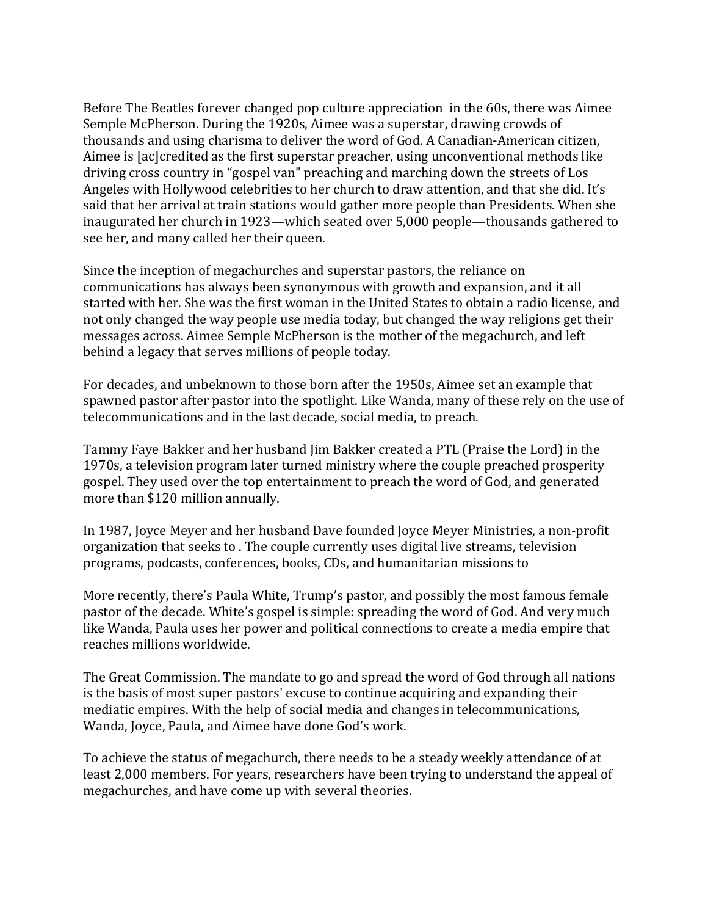Before The Beatles forever changed pop culture appreciation in the 60s, there was Aimee Semple McPherson. During the 1920s, Aimee was a superstar, drawing crowds of thousands and using charisma to deliver the word of God. A Canadian-American citizen, Aimee is [ac]credited as the first superstar preacher, using unconventional methods like driving cross country in "gospel van" preaching and marching down the streets of Los Angeles with Hollywood celebrities to her church to draw attention, and that she did. It's said that her arrival at train stations would gather more people than Presidents. When she inaugurated her church in 1923—which seated over 5,000 people—thousands gathered to see her, and many called her their queen.

Since the inception of megachurches and superstar pastors, the reliance on communications has always been synonymous with growth and expansion, and it all started with her. She was the first woman in the United States to obtain a radio license, and not only changed the way people use media today, but changed the way religions get their messages across. Aimee Semple McPherson is the mother of the megachurch, and left behind a legacy that serves millions of people today.

For decades, and unbeknown to those born after the 1950s, Aimee set an example that spawned pastor after pastor into the spotlight. Like Wanda, many of these rely on the use of telecommunications and in the last decade, social media, to preach.

Tammy Faye Bakker and her husband Jim Bakker created a PTL (Praise the Lord) in the 1970s, a television program later turned ministry where the couple preached prosperity gospel. They used over the top entertainment to preach the word of God, and generated more than \$120 million annually.

In 1987, Joyce Meyer and her husband Dave founded Joyce Meyer Ministries, a non-profit organization that seeks to . The couple currently uses digital live streams, television programs, podcasts, conferences, books, CDs, and humanitarian missions to

More recently, there's Paula White, Trump's pastor, and possibly the most famous female pastor of the decade. White's gospel is simple: spreading the word of God. And very much like Wanda, Paula uses her power and political connections to create a media empire that reaches millions worldwide.

The Great Commission. The mandate to go and spread the word of God through all nations is the basis of most super pastors' excuse to continue acquiring and expanding their mediatic empires. With the help of social media and changes in telecommunications, Wanda, Joyce, Paula, and Aimee have done God's work.

To achieve the status of megachurch, there needs to be a steady weekly attendance of at least 2,000 members. For years, researchers have been trying to understand the appeal of megachurches, and have come up with several theories.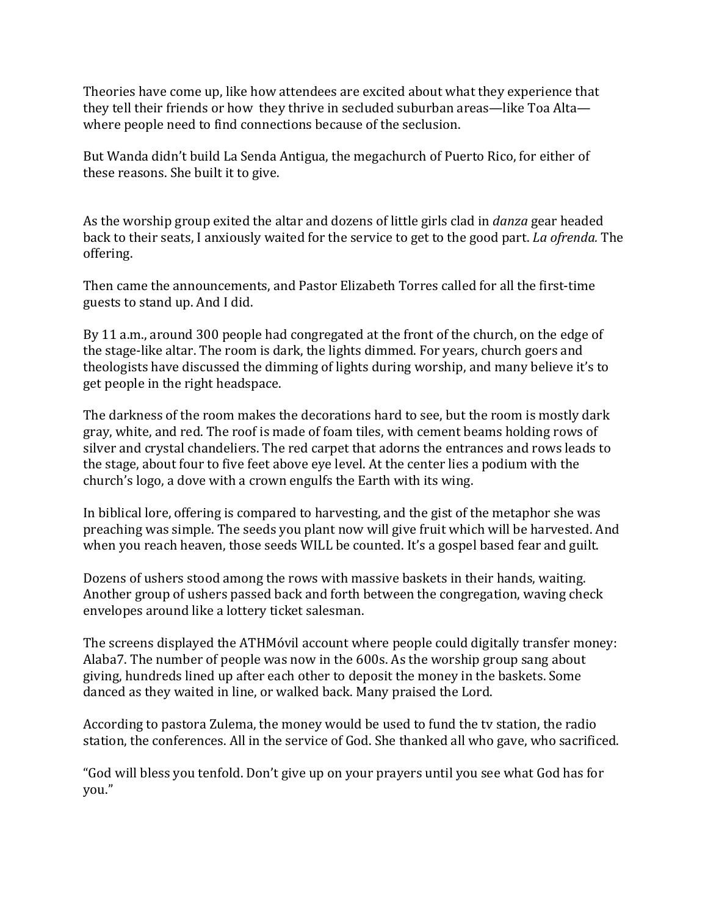Theories have come up, like how attendees are excited about what they experience that they tell their friends or how they thrive in secluded suburban areas—like Toa Alta where people need to find connections because of the seclusion.

But Wanda didn't build La Senda Antigua, the megachurch of Puerto Rico, for either of these reasons. She built it to give.

As the worship group exited the altar and dozens of little girls clad in *danza* gear headed back to their seats, I anxiously waited for the service to get to the good part. *La ofrenda.* The offering.

Then came the announcements, and Pastor Elizabeth Torres called for all the first-time guests to stand up. And I did.

By 11 a.m., around 300 people had congregated at the front of the church, on the edge of the stage-like altar. The room is dark, the lights dimmed. For years, church goers and theologists have discussed the dimming of lights during worship, and many believe it's to get people in the right headspace.

The darkness of the room makes the decorations hard to see, but the room is mostly dark gray, white, and red. The roof is made of foam tiles, with cement beams holding rows of silver and crystal chandeliers. The red carpet that adorns the entrances and rows leads to the stage, about four to five feet above eye level. At the center lies a podium with the church's logo, a dove with a crown engulfs the Earth with its wing.

In biblical lore, offering is compared to harvesting, and the gist of the metaphor she was preaching was simple. The seeds you plant now will give fruit which will be harvested. And when you reach heaven, those seeds WILL be counted. It's a gospel based fear and guilt.

Dozens of ushers stood among the rows with massive baskets in their hands, waiting. Another group of ushers passed back and forth between the congregation, waving check envelopes around like a lottery ticket salesman.

The screens displayed the ATHMóvil account where people could digitally transfer money: Alaba7. The number of people was now in the 600s. As the worship group sang about giving, hundreds lined up after each other to deposit the money in the baskets. Some danced as they waited in line, or walked back. Many praised the Lord.

According to pastora Zulema, the money would be used to fund the tv station, the radio station, the conferences. All in the service of God. She thanked all who gave, who sacrificed.

"God will bless you tenfold. Don't give up on your prayers until you see what God has for you."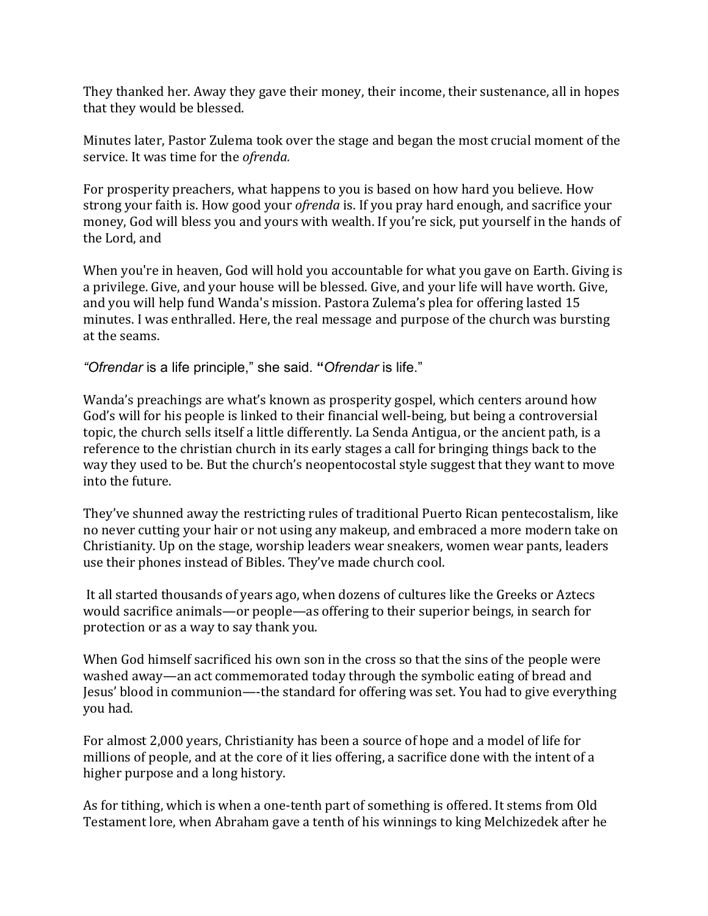They thanked her. Away they gave their money, their income, their sustenance, all in hopes that they would be blessed.

Minutes later, Pastor Zulema took over the stage and began the most crucial moment of the service. It was time for the *ofrenda.*

For prosperity preachers, what happens to you is based on how hard you believe. How strong your faith is. How good your *ofrenda* is. If you pray hard enough, and sacrifice your money, God will bless you and yours with wealth. If you're sick, put yourself in the hands of the Lord, and

When you're in heaven, God will hold you accountable for what you gave on Earth. Giving is a privilege. Give, and your house will be blessed. Give, and your life will have worth. Give, and you will help fund Wanda's mission. Pastora Zulema's plea for offering lasted 15 minutes. I was enthralled. Here, the real message and purpose of the church was bursting at the seams.

*"Ofrendar* is a life principle," she said. **"***Ofrendar* is life."

Wanda's preachings are what's known as prosperity gospel, which centers around how God's will for his people is linked to their financial well-being, but being a controversial topic, the church sells itself a little differently. La Senda Antigua, or the ancient path, is a reference to the christian church in its early stages a call for bringing things back to the way they used to be. But the church's neopentocostal style suggest that they want to move into the future.

They've shunned away the restricting rules of traditional Puerto Rican pentecostalism, like no never cutting your hair or not using any makeup, and embraced a more modern take on Christianity. Up on the stage, worship leaders wear sneakers, women wear pants, leaders use their phones instead of Bibles. They've made church cool.

It all started thousands of years ago, when dozens of cultures like the Greeks or Aztecs would sacrifice animals—or people—as offering to their superior beings, in search for protection or as a way to say thank you.

When God himself sacrificed his own son in the cross so that the sins of the people were washed away—an act commemorated today through the symbolic eating of bread and Jesus' blood in communion—-the standard for offering was set. You had to give everything you had.

For almost 2,000 years, Christianity has been a source of hope and a model of life for millions of people, and at the core of it lies offering, a sacrifice done with the intent of a higher purpose and a long history.

As for tithing, which is when a one-tenth part of something is offered. It stems from Old Testament lore, when Abraham gave a tenth of his winnings to king Melchizedek after he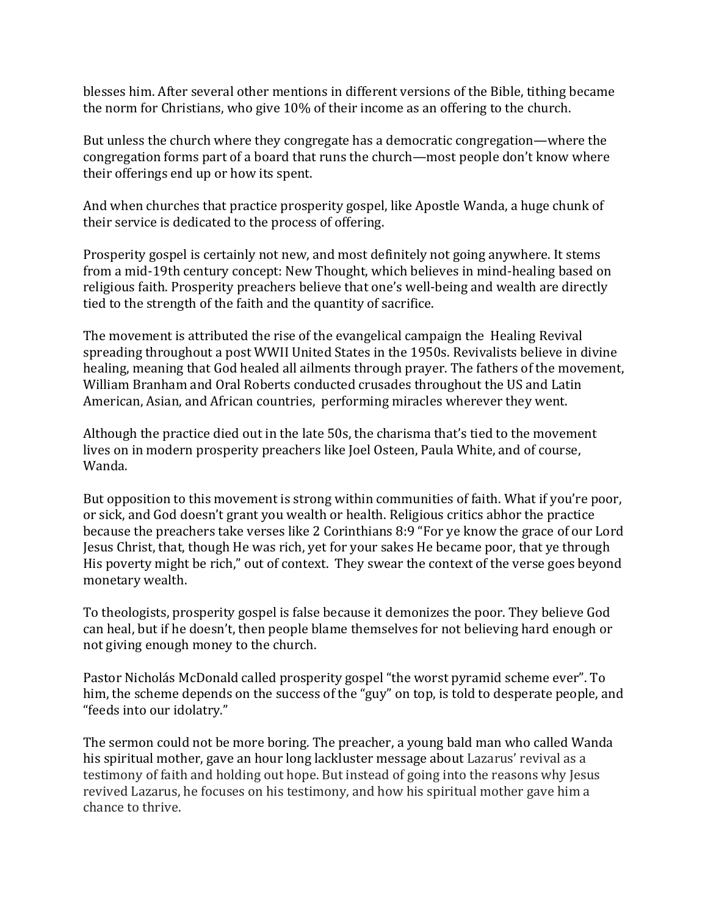blesses him. After several other mentions in different versions of the Bible, tithing became the norm for Christians, who give 10% of their income as an offering to the church.

But unless the church where they congregate has a democratic congregation—where the congregation forms part of a board that runs the church—most people don't know where their offerings end up or how its spent.

And when churches that practice prosperity gospel, like Apostle Wanda, a huge chunk of their service is dedicated to the process of offering.

Prosperity gospel is certainly not new, and most definitely not going anywhere. It stems from a mid-19th century concept: New Thought, which believes in mind-healing based on religious faith. Prosperity preachers believe that one's well-being and wealth are directly tied to the strength of the faith and the quantity of sacrifice.

The movement is attributed the rise of the evangelical campaign the Healing Revival spreading throughout a post WWII United States in the 1950s. Revivalists believe in divine healing, meaning that God healed all ailments through prayer. The fathers of the movement, William Branham and Oral Roberts conducted crusades throughout the US and Latin American, Asian, and African countries, performing miracles wherever they went.

Although the practice died out in the late 50s, the charisma that's tied to the movement lives on in modern prosperity preachers like Joel Osteen, Paula White, and of course, Wanda.

But opposition to this movement is strong within communities of faith. What if you're poor, or sick, and God doesn't grant you wealth or health. Religious critics abhor the practice because the preachers take verses like 2 Corinthians 8:9 "For ye know the grace of our Lord Jesus Christ, that, though He was rich, yet for your sakes He became poor, that ye through His poverty might be rich," out of context. They swear the context of the verse goes beyond monetary wealth.

To theologists, prosperity gospel is false because it demonizes the poor. They believe God can heal, but if he doesn't, then people blame themselves for not believing hard enough or not giving enough money to the church.

Pastor Nicholás McDonald called prosperity gospel "the worst pyramid scheme ever". To him, the scheme depends on the success of the "guy" on top, is told to desperate people, and "feeds into our idolatry."

The sermon could not be more boring. The preacher, a young bald man who called Wanda his spiritual mother, gave an hour long lackluster message about Lazarus' revival as a testimony of faith and holding out hope. But instead of going into the reasons why Jesus revived Lazarus, he focuses on his testimony, and how his spiritual mother gave him a chance to thrive.